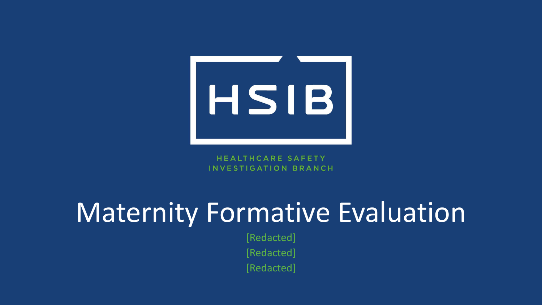

**HEALTHCARE SAFETY** INVESTIGATION BRANCH

# Maternity Formative Evaluation

[Redacted]

[Redacted]

[Redacted]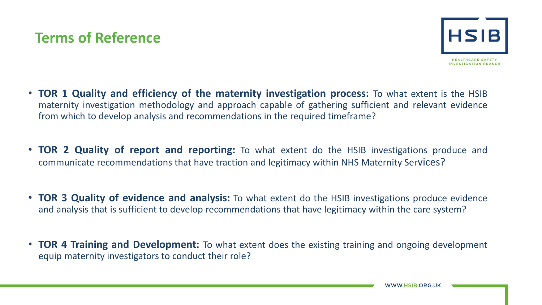#### **Terms of Reference**



- **TOR 1 Quality and efficiency of the maternity investigation process:** To what extent is the HSIB maternity investigation methodology and approach capable of gathering sufficient and relevant evidence from which to develop analysis and recommendations in the required timeframe?
- **TOR 2 Quality of report and reporting:** To what extent do the HSIB investigations produce and communicate recommendations that have traction and legitimacy within NHS Maternity Services?
- **TOR 3 Quality of evidence and analysis:** To what extent do the HSIB investigations produce evidence and analysis that is sufficient to develop recommendations that have legitimacy within the care system?
- **TOR 4 Training and Development:** To what extent does the existing training and ongoing development equip maternity investigators to conduct their role?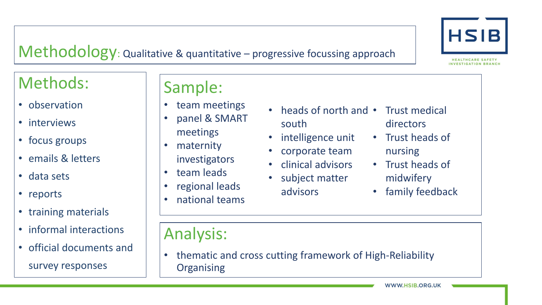

#### Methodology: Qualitative & quantitative – progressive focussing approach

### Methods:

- observation
- interviews
- focus groups
- emails & letters
- data sets
- reports
- training materials
- informal interactions
- official documents and survey responses

#### Sample:

- team meetings
- panel & SMART meetings
- maternity
	- investigators
- team leads
- regional leads
- national teams
- heads of north and Trust medical south
- intelligence unit
- corporate team
- clinical advisors
- subject matter advisors
- directors
- Trust heads of nursing
- Trust heads of midwifery
- family feedback

Analysis:

• thematic and cross cutting framework of High-Reliability **Organising** 

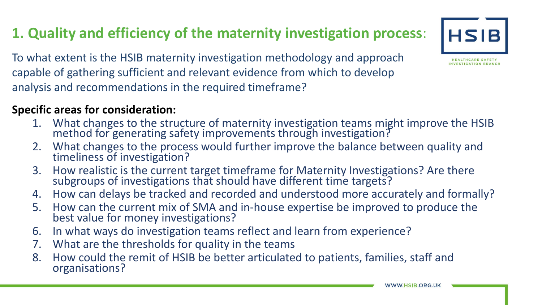### **1. Quality and efficiency of the maternity investigation process**:

To what extent is the HSIB maternity investigation methodology and approach capable of gathering sufficient and relevant evidence from which to develop analysis and recommendations in the required timeframe?

#### **Specific areas for consideration:**

- 1. What changes to the structure of maternity investigation teams might improve the HSIB method for generating safety improvements through investigation?
- 2. What changes to the process would further improve the balance between quality and timeliness of investigation?
- 3. How realistic is the current target timeframe for Maternity Investigations? Are there subgroups of investigations that should have different time targets?
- 4. How can delays be tracked and recorded and understood more accurately and formally?
- 5. How can the current mix of SMA and in-house expertise be improved to produce the best value for money investigations?
- 6. In what ways do investigation teams reflect and learn from experience?
- 7. What are the thresholds for quality in the teams
- 8. How could the remit of HSIB be better articulated to patients, families, staff and organisations?



**HSIB**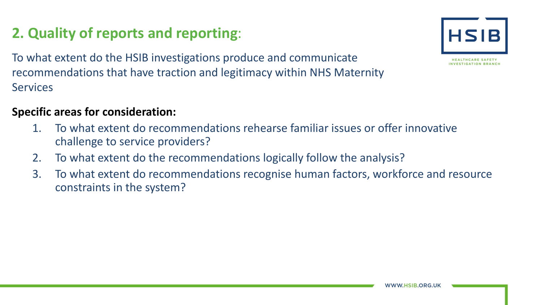#### **2. Quality of reports and reporting**:

To what extent do the HSIB investigations produce and communicate recommendations that have traction and legitimacy within NHS Maternity **Services** 

#### **Specific areas for consideration:**

- 1. To what extent do recommendations rehearse familiar issues or offer innovative challenge to service providers?
- 2. To what extent do the recommendations logically follow the analysis?
- 3. To what extent do recommendations recognise human factors, workforce and resource constraints in the system?

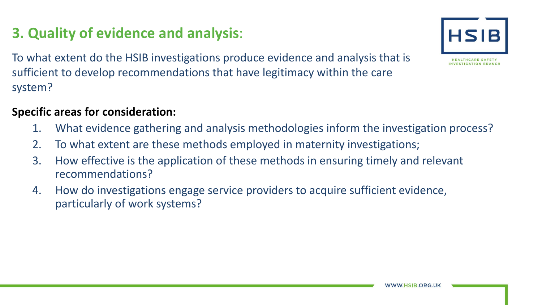#### *N* HSIB ORG UK

To what extent do the HSIB investigations produce evidence and analysis that is sufficient to develop recommendations that have legitimacy within the care system?

#### **Specific areas for consideration:**

**3. Quality of evidence and analysis**:

- 1. What evidence gathering and analysis methodologies inform the investigation process?
- 2. To what extent are these methods employed in maternity investigations;
- 3. How effective is the application of these methods in ensuring timely and relevant recommendations?
- 4. How do investigations engage service providers to acquire sufficient evidence, particularly of work systems?

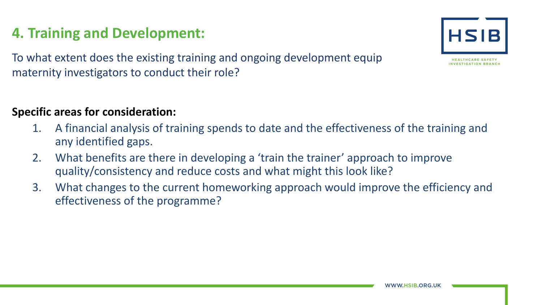#### **4. Training and Development:**

To what extent does the existing training and ongoing development equip maternity investigators to conduct their role?

#### **Specific areas for consideration:**

- 1. A financial analysis of training spends to date and the effectiveness of the training and any identified gaps.
- 2. What benefits are there in developing a 'train the trainer' approach to improve quality/consistency and reduce costs and what might this look like?
- 3. What changes to the current homeworking approach would improve the efficiency and effectiveness of the programme?

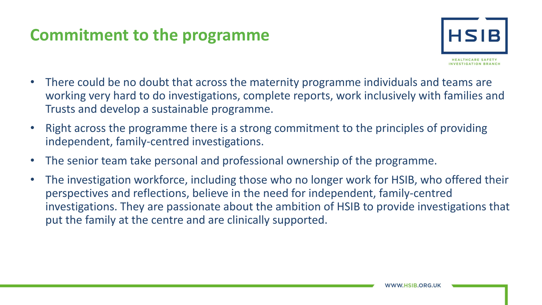#### **Commitment to the programme**



- There could be no doubt that across the maternity programme individuals and teams are working very hard to do investigations, complete reports, work inclusively with families and Trusts and develop a sustainable programme.
- Right across the programme there is a strong commitment to the principles of providing independent, family-centred investigations.
- The senior team take personal and professional ownership of the programme.
- The investigation workforce, including those who no longer work for HSIB, who offered their perspectives and reflections, believe in the need for independent, family-centred investigations. They are passionate about the ambition of HSIB to provide investigations that put the family at the centre and are clinically supported.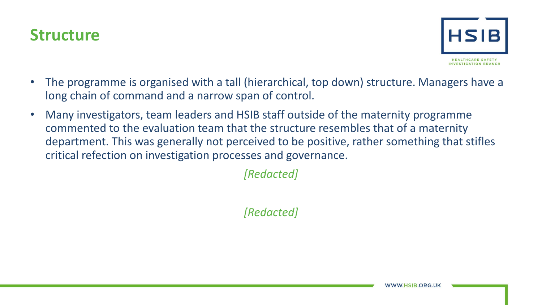



- The programme is organised with a tall (hierarchical, top down) structure. Managers have a long chain of command and a narrow span of control.
- Many investigators, team leaders and HSIB staff outside of the maternity programme commented to the evaluation team that the structure resembles that of a maternity department. This was generally not perceived to be positive, rather something that stifles critical refection on investigation processes and governance.

*[Redacted]*

*[Redacted]*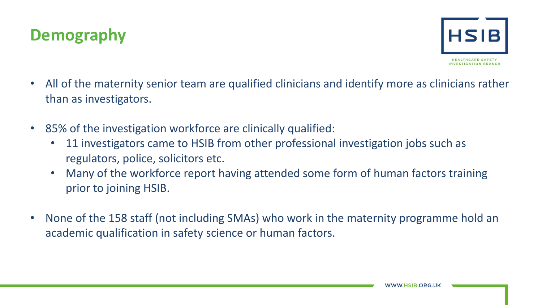



- All of the maternity senior team are qualified clinicians and identify more as clinicians rather than as investigators.
- 85% of the investigation workforce are clinically qualified:
	- 11 investigators came to HSIB from other professional investigation jobs such as regulators, police, solicitors etc.
	- Many of the workforce report having attended some form of human factors training prior to joining HSIB.
- None of the 158 staff (not including SMAs) who work in the maternity programme hold an academic qualification in safety science or human factors.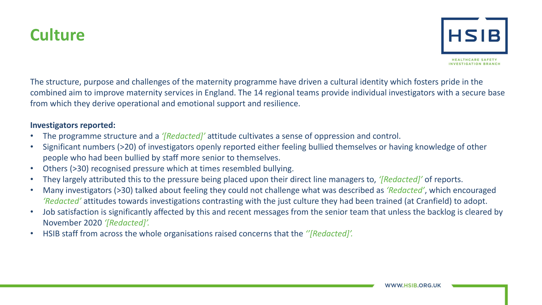

The structure, purpose and challenges of the maternity programme have driven a cultural identity which fosters pride in the combined aim to improve maternity services in England. The 14 regional teams provide individual investigators with a secure base from which they derive operational and emotional support and resilience.

#### **Investigators reported:**

- The programme structure and a *'[Redacted]'* attitude cultivates a sense of oppression and control.
- Significant numbers (>20) of investigators openly reported either feeling bullied themselves or having knowledge of other people who had been bullied by staff more senior to themselves.
- Others (>30) recognised pressure which at times resembled bullying.
- They largely attributed this to the pressure being placed upon their direct line managers to, *'[Redacted]'* of reports.
- Many investigators (>30) talked about feeling they could not challenge what was described as *'Redacted'*, which encouraged *'Redacted'* attitudes towards investigations contrasting with the just culture they had been trained (at Cranfield) to adopt.
- Job satisfaction is significantly affected by this and recent messages from the senior team that unless the backlog is cleared by November 2020 *'[Redacted]'.*
- HSIB staff from across the whole organisations raised concerns that the *''[Redacted]'.*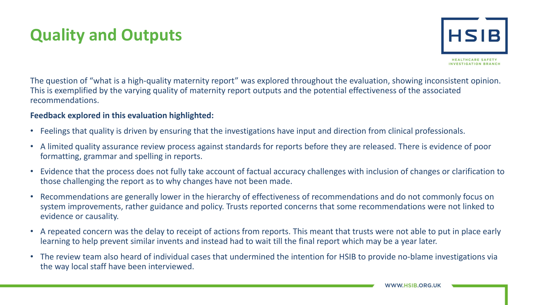### **Quality and Outputs**



The question of "what is a high-quality maternity report" was explored throughout the evaluation, showing inconsistent opinion. This is exemplified by the varying quality of maternity report outputs and the potential effectiveness of the associated recommendations.

#### **Feedback explored in this evaluation highlighted:**

- Feelings that quality is driven by ensuring that the investigations have input and direction from clinical professionals.
- A limited quality assurance review process against standards for reports before they are released. There is evidence of poor formatting, grammar and spelling in reports.
- Evidence that the process does not fully take account of factual accuracy challenges with inclusion of changes or clarification to those challenging the report as to why changes have not been made.
- Recommendations are generally lower in the hierarchy of effectiveness of recommendations and do not commonly focus on system improvements, rather guidance and policy. Trusts reported concerns that some recommendations were not linked to evidence or causality.
- A repeated concern was the delay to receipt of actions from reports. This meant that trusts were not able to put in place early learning to help prevent similar invents and instead had to wait till the final report which may be a year later.
- The review team also heard of individual cases that undermined the intention for HSIB to provide no-blame investigations via the way local staff have been interviewed.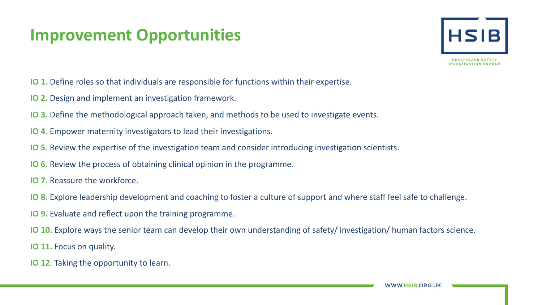#### **Improvement Opportunities**



- **IO 1.** Define roles so that individuals are responsible for functions within their expertise.
- **IO 2.** Design and implement an investigation framework.
- **IO 3.** Define the methodological approach taken, and methods to be used to investigate events.
- **IO 4.** Empower maternity investigators to lead their investigations.
- **IO 5.** Review the expertise of the investigation team and consider introducing investigation scientists.
- **IO 6.** Review the process of obtaining clinical opinion in the programme.
- **IO 7.** Reassure the workforce.
- **IO 8.** Explore leadership development and coaching to foster a culture of support and where staff feel safe to challenge.
- **IO 9.** Evaluate and reflect upon the training programme.
- **IO 10.** Explore ways the senior team can develop their own understanding of safety/ investigation/ human factors science.
- **IO 11.** Focus on quality.
- **IO 12**. Taking the opportunity to learn.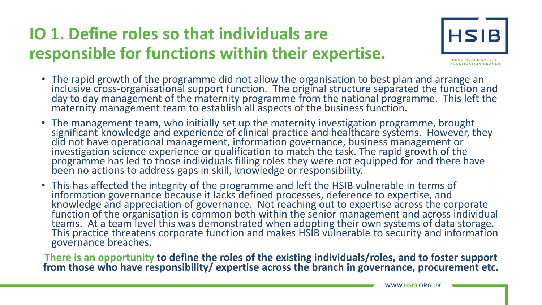## **IO 1. Define roles so that individuals are responsible for functions within their expertise.**



- The rapid growth of the programme did not allow the organisation to best plan and arrange an inclusive cross-organisational support function. The original structure separated the function and<br>day to day management of the maternity programme from the national programme. This left the maternity management team to establish all aspects of the business function.
- The management team, who initially set up the maternity investigation programme, brought significant knowledge and experience of clinical practice and healthcare systems. However, they did not have operational management, information governance, business management or investigation science experience or qualification to match the task. The rapid growth of the programme has led to those individuals filling roles they were not equipped for and there have been no actions to address gaps in skill, knowledge or responsibility.
- This has affected the integrity of the programme and left the HSIB vulnerable in terms of information governance because it lacks defined processes, deference to expertise, and<br>knowledge and appreciation of governance. Not reaching out to expertise across the corporate<br>function of the organisation is common bot teams. At a team level this was demonstrated when adopting their own systems of data storage. This practice threatens corporate function and makes HSIB vulnerable to security and information governance breaches.

**There is an opportunity to define the roles of the existing individuals/roles, and to foster support from those who have responsibility/ expertise across the branch in governance, procurement etc.**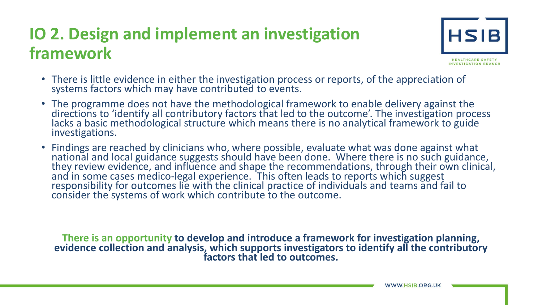### **IO 2. Design and implement an investigation framework**



- There is little evidence in either the investigation process or reports, of the appreciation of systems factors which may have contributed to events.
- The programme does not have the methodological framework to enable delivery against the directions to 'identify all contributory factors that led to the outcome'. The investigation process<br>lacks a basic methodological st investigations.
- Findings are reached by clinicians who, where possible, evaluate what was done against what national and local guidance suggests should have been done. Where there is no such guidance,<br>they review evidence, and influence and shape the recommendations, through their own clinical, and in some cases medico-legal experience. This often leads to reports which suggest<br>responsibility for outcomes lie with the clinical practice of individuals and teams and fail to responsibility for outcomes lie with the clinical practice of individuals and teams and fail to consider the systems of work which contribute to the outcome.

**There is an opportunity to develop and introduce a framework for investigation planning, evidence collection and analysis, which supports investigators to identify all the contributory factors that led to outcomes.**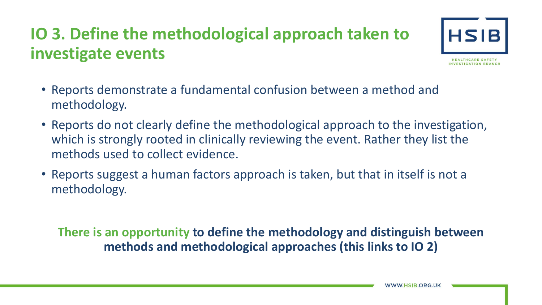## **IO 3. Define the methodological approach taken to investigate events**



- Reports demonstrate a fundamental confusion between a method and methodology.
- Reports do not clearly define the methodological approach to the investigation, which is strongly rooted in clinically reviewing the event. Rather they list the methods used to collect evidence.
- Reports suggest a human factors approach is taken, but that in itself is not a methodology.

**There is an opportunity to define the methodology and distinguish between methods and methodological approaches (this links to IO 2)**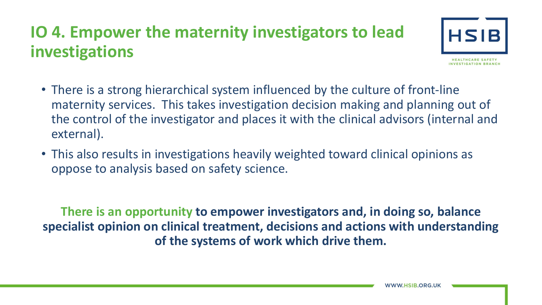### **IO 4. Empower the maternity investigators to lead investigations**



- There is a strong hierarchical system influenced by the culture of front-line maternity services. This takes investigation decision making and planning out of the control of the investigator and places it with the clinical advisors (internal and external).
- This also results in investigations heavily weighted toward clinical opinions as oppose to analysis based on safety science.

**There is an opportunity to empower investigators and, in doing so, balance specialist opinion on clinical treatment, decisions and actions with understanding of the systems of work which drive them.**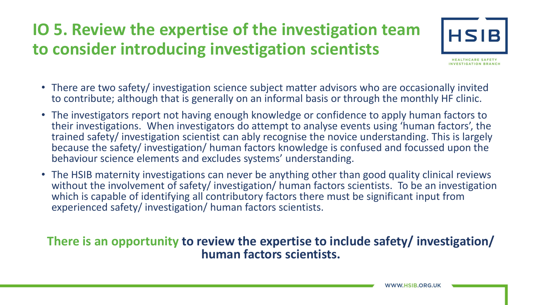### **IO 5. Review the expertise of the investigation team to consider introducing investigation scientists**



- There are two safety/ investigation science subject matter advisors who are occasionally invited to contribute; although that is generally on an informal basis or through the monthly HF clinic.
- The investigators report not having enough knowledge or confidence to apply human factors to their investigations. When investigators do attempt to analyse events using 'human factors', the trained safety/ investigation scientist can ably recognise the novice understanding. This is largely because the safety/ investigation/ human factors knowledge is confused and focussed upon the behaviour science elements and excludes systems' understanding.
- The HSIB maternity investigations can never be anything other than good quality clinical reviews without the involvement of safety/ investigation/ human factors scientists. To be an investigation which is capable of identifying all contributory factors there must be significant input from experienced safety/ investigation/ human factors scientists.

#### **There is an opportunity to review the expertise to include safety/ investigation/ human factors scientists.**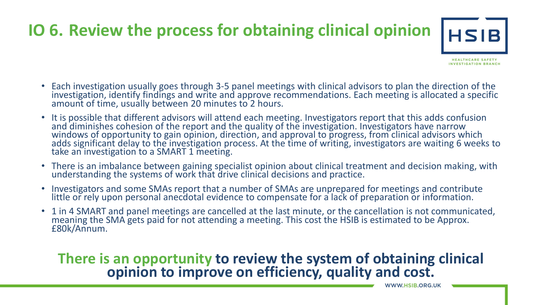## **IO 6. Review the process for obtaining clinical opinion**



- Each investigation usually goes through 3-5 panel meetings with clinical advisors to plan the direction of the<br>investigation, identify findings and write and approve recommendations. Each meeting is allocated a specific amount of time, usually between 20 minutes to 2 hours.
- It is possible that different advisors will attend each meeting. Investigators report that this adds confusion and diminishes cohesion of the report and the quality of the investigation. Investigators have narrow windows of opportunity to gain opinion, direction, and approval to progress, from clinical advisors which adds significant delay to the investigation process. At the time of writing, investigators are waiting 6 weeks to take an investigation to a SMART 1 meeting.
- There is an imbalance between gaining specialist opinion about clinical treatment and decision making, with understanding the systems of work that drive clinical decisions and practice.
- Investigators and some SMAs report that a number of SMAs are unprepared for meetings and contribute little or rely upon personal anecdotal evidence to compensate for a lack of preparation or information.
- 1 in 4 SMART and panel meetings are cancelled at the last minute, or the cancellation is not communicated, meaning the SMA gets paid for not attending a meeting. This cost the HSIB is estimated to be Approx. £80k/Annum.

# **There is an opportunity to review the system of obtaining clinical opinion to improve on efficiency, quality and cost.**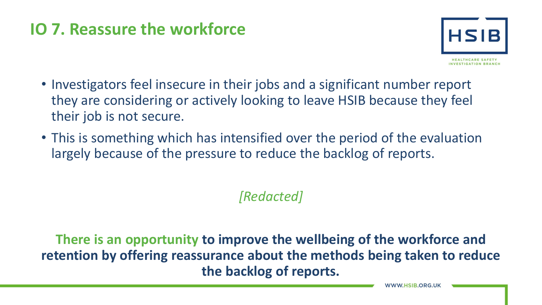#### **IO 7. Reassure the workforce**



- Investigators feel insecure in their jobs and a significant number report they are considering or actively looking to leave HSIB because they feel their job is not secure.
- This is something which has intensified over the period of the evaluation largely because of the pressure to reduce the backlog of reports.

#### *[Redacted]*

**There is an opportunity to improve the wellbeing of the workforce and retention by offering reassurance about the methods being taken to reduce the backlog of reports.**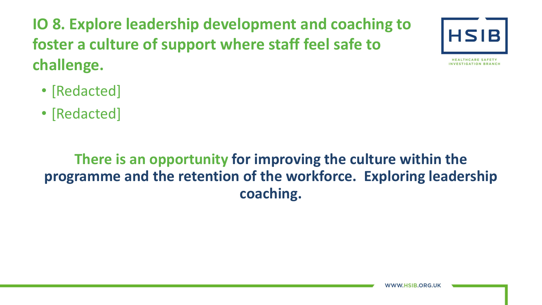**IO 8. Explore leadership development and coaching to foster a culture of support where staff feel safe to challenge.** 



INVESTIGATION BRANCH

• [Redacted]

• [Redacted]

#### **There is an opportunity for improving the culture within the programme and the retention of the workforce. Exploring leadership coaching.**

**WWW.HSIB.ORG.UK**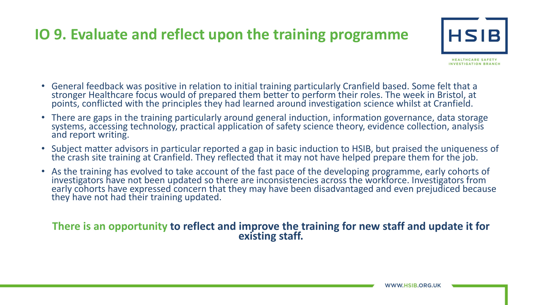#### **IO 9. Evaluate and reflect upon the training programme**



- General feedback was positive in relation to initial training particularly Cranfield based. Some felt that a stronger Healthcare focus would of prepared them better to perform their roles. The week in Bristol, at points, conflicted with the principles they had learned around investigation science whilst at Cranfield.
- There are gaps in the training particularly around general induction, information governance, data storage systems, accessing technology, practical application of safety science theory, evidence collection, analysis and report writing.
- Subject matter advisors in particular reported a gap in basic induction to HSIB, but praised the uniqueness of the crash site training at Cranfield. They reflected that it may not have helped prepare them for the job.
- As the training has evolved to take account of the fast pace of the developing programme, early cohorts of investigators have not been updated so there are inconsistencies across the workforce. Investigators from early cohorts have expressed concern that they may have been disadvantaged and even prejudiced because they have not had their training updated.

## **There is an opportunity to reflect and improve the training for new staff and update it for existing staff.**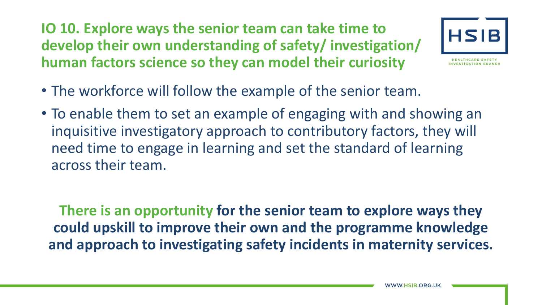**IO 10. Explore ways the senior team can take time to develop their own understanding of safety/ investigation/ human factors science so they can model their curiosity** 



- The workforce will follow the example of the senior team.
- To enable them to set an example of engaging with and showing an inquisitive investigatory approach to contributory factors, they will need time to engage in learning and set the standard of learning across their team.

**There is an opportunity for the senior team to explore ways they could upskill to improve their own and the programme knowledge and approach to investigating safety incidents in maternity services.**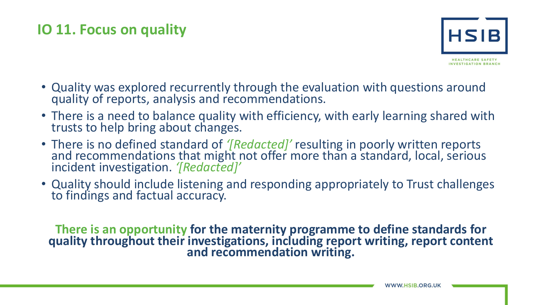#### **IO 11. Focus on quality**



- Quality was explored recurrently through the evaluation with questions around quality of reports, analysis and recommendations.
- There is a need to balance quality with efficiency, with early learning shared with trusts to help bring about changes.
- There is no defined standard of *'[Redacted]'* resulting in poorly written reports and recommendations that might not offer more than a standard, local, serious incident investigation. *'[Redacted]'*
- Quality should include listening and responding appropriately to Trust challenges to findings and factual accuracy.

**There is an opportunity for the maternity programme to define standards for quality throughout their investigations, including report writing, report content and recommendation writing.**